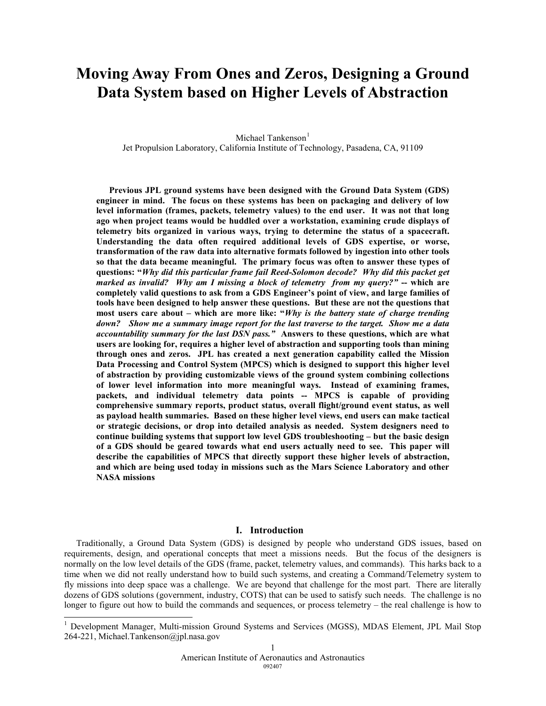# **Moving Away From Ones and Zeros, Designing a Ground Data System based on Higher Levels of Abstraction**

Michael Tankenson<sup>[1](#page-0-0)</sup> Jet Propulsion Laboratory, California Institute of Technology, Pasadena, CA, 91109

**Previous JPL ground systems have been designed with the Ground Data System (GDS) engineer in mind. The focus on these systems has been on packaging and delivery of low level information (frames, packets, telemetry values) to the end user. It was not that long ago when project teams would be huddled over a workstation, examining crude displays of telemetry bits organized in various ways, trying to determine the status of a spacecraft. Understanding the data often required additional levels of GDS expertise, or worse, transformation of the raw data into alternative formats followed by ingestion into other tools so that the data became meaningful. The primary focus was often to answer these types of questions: "***Why did this particular frame fail Reed-Solomon decode? Why did this packet get marked as invalid? Why am I missing a block of telemetry from my query?"* **-- which are completely valid questions to ask from a GDS Engineer's point of view, and large families of tools have been designed to help answer these questions. But these are not the questions that most users care about – which are more like: "***Why is the battery state of charge trending down? Show me a summary image report for the last traverse to the target. Show me a data accountability summary for the last DSN pass."* **Answers to these questions, which are what users are looking for, requires a higher level of abstraction and supporting tools than mining through ones and zeros. JPL has created a next generation capability called the Mission Data Processing and Control System (MPCS) which is designed to support this higher level of abstraction by providing customizable views of the ground system combining collections of lower level information into more meaningful ways. Instead of examining frames, packets, and individual telemetry data points -- MPCS is capable of providing comprehensive summary reports, product status, overall flight/ground event status, as well as payload health summaries. Based on these higher level views, end users can make tactical or strategic decisions, or drop into detailed analysis as needed. System designers need to continue building systems that support low level GDS troubleshooting – but the basic design of a GDS should be geared towards what end users actually need to see. This paper will describe the capabilities of MPCS that directly support these higher levels of abstraction, and which are being used today in missions such as the Mars Science Laboratory and other NASA missions**

## **I. Introduction**

Traditionally, a Ground Data System (GDS) is designed by people who understand GDS issues, based on requirements, design, and operational concepts that meet a missions needs. But the focus of the designers is normally on the low level details of the GDS (frame, packet, telemetry values, and commands). This harks back to a time when we did not really understand how to build such systems, and creating a Command/Telemetry system to fly missions into deep space was a challenge. We are beyond that challenge for the most part. There are literally dozens of GDS solutions (government, industry, COTS) that can be used to satisfy such needs. The challenge is no longer to figure out how to build the commands and sequences, or process telemetry – the real challenge is how to

 $\overline{a}$ 

<span id="page-0-0"></span><sup>&</sup>lt;sup>1</sup> Development Manager, Multi-mission Ground Systems and Services (MGSS), MDAS Element, JPL Mail Stop 264-221, Michael.Tankenson@jpl.nasa.gov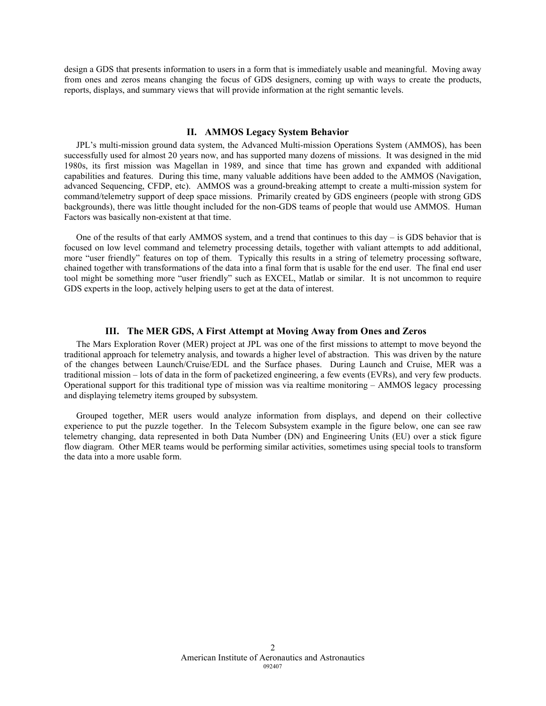design a GDS that presents information to users in a form that is immediately usable and meaningful. Moving away from ones and zeros means changing the focus of GDS designers, coming up with ways to create the products, reports, displays, and summary views that will provide information at the right semantic levels.

### **II. AMMOS Legacy System Behavior**

JPL's multi-mission ground data system, the Advanced Multi-mission Operations System (AMMOS), has been successfully used for almost 20 years now, and has supported many dozens of missions. It was designed in the mid 1980s, its first mission was Magellan in 1989, and since that time has grown and expanded with additional capabilities and features. During this time, many valuable additions have been added to the AMMOS (Navigation, advanced Sequencing, CFDP, etc). AMMOS was a ground-breaking attempt to create a multi-mission system for command/telemetry support of deep space missions. Primarily created by GDS engineers (people with strong GDS backgrounds), there was little thought included for the non-GDS teams of people that would use AMMOS. Human Factors was basically non-existent at that time.

One of the results of that early AMMOS system, and a trend that continues to this day  $-$  is GDS behavior that is focused on low level command and telemetry processing details, together with valiant attempts to add additional, more "user friendly" features on top of them. Typically this results in a string of telemetry processing software, chained together with transformations of the data into a final form that is usable for the end user. The final end user tool might be something more "user friendly" such as EXCEL, Matlab or similar. It is not uncommon to require GDS experts in the loop, actively helping users to get at the data of interest.

### **III. The MER GDS, A First Attempt at Moving Away from Ones and Zeros**

The Mars Exploration Rover (MER) project at JPL was one of the first missions to attempt to move beyond the traditional approach for telemetry analysis, and towards a higher level of abstraction. This was driven by the nature of the changes between Launch/Cruise/EDL and the Surface phases. During Launch and Cruise, MER was a traditional mission – lots of data in the form of packetized engineering, a few events (EVRs), and very few products. Operational support for this traditional type of mission was via realtime monitoring – AMMOS legacy processing and displaying telemetry items grouped by subsystem.

Grouped together, MER users would analyze information from displays, and depend on their collective experience to put the puzzle together. In the Telecom Subsystem example in the figure below, one can see raw telemetry changing, data represented in both Data Number (DN) and Engineering Units (EU) over a stick figure flow diagram. Other MER teams would be performing similar activities, sometimes using special tools to transform the data into a more usable form.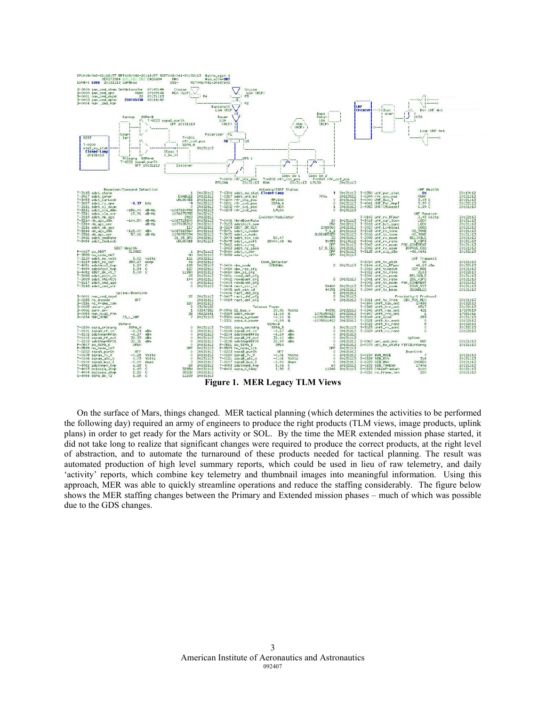

**Figure 1. MER Legacy TLM Views**

On the surface of Mars, things changed. MER tactical planning (which determines the activities to be performed the following day) required an army of engineers to produce the right products (TLM views, image products, uplink plans) in order to get ready for the Mars activity or SOL. By the time the MER extended mission phase started, it did not take long to realize that significant changes were required to produce the correct products, at the right level of abstraction, and to automate the turnaround of these products needed for tactical planning. The result was automated production of high level summary reports, which could be used in lieu of raw telemetry, and daily 'activity' reports, which combine key telemetry and thumbnail images into meaningful information. Using this approach, MER was able to quickly streamline operations and reduce the staffing considerably. The figure below shows the MER staffing changes between the Primary and Extended mission phases – much of which was possible due to the GDS changes.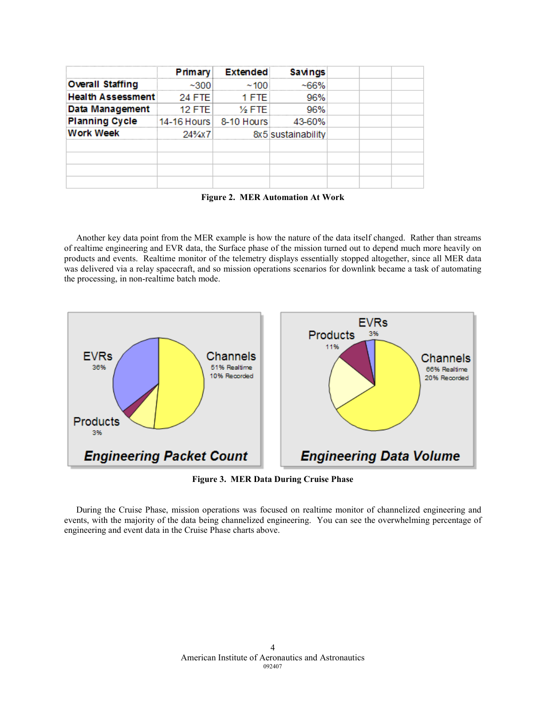|                          | <b>Primary</b>           | Extended   | <b>Savings</b>     |  |
|--------------------------|--------------------------|------------|--------------------|--|
| <b>Overall Staffing</b>  |                          |            |                    |  |
| <b>Health Assessment</b> | <b>24 FTE</b>            | 1 FTF.     | 96%                |  |
| Data Management          | $12$ FTF                 | $V_2$ FTF. |                    |  |
| <b>Planning Cycle</b>    | 14-16 Hours   8-10 Hours |            |                    |  |
| <b>Work Week</b>         | 24%x7                    |            | 8x5 sustainability |  |
|                          |                          |            |                    |  |
|                          |                          |            |                    |  |
|                          |                          |            |                    |  |
|                          |                          |            |                    |  |

**Figure 2. MER Automation At Work**

Another key data point from the MER example is how the nature of the data itself changed. Rather than streams of realtime engineering and EVR data, the Surface phase of the mission turned out to depend much more heavily on products and events. Realtime monitor of the telemetry displays essentially stopped altogether, since all MER data was delivered via a relay spacecraft, and so mission operations scenarios for downlink became a task of automating the processing, in non-realtime batch mode.



**Figure 3. MER Data During Cruise Phase**

During the Cruise Phase, mission operations was focused on realtime monitor of channelized engineering and events, with the majority of the data being channelized engineering. You can see the overwhelming percentage of engineering and event data in the Cruise Phase charts above.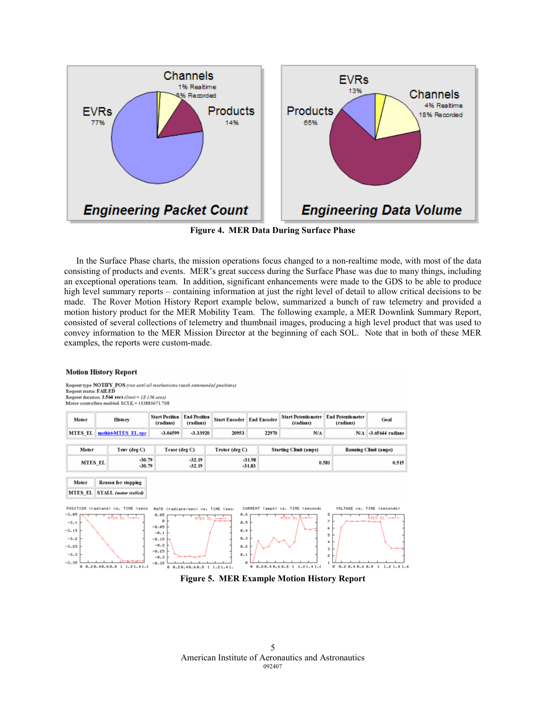

**Figure 4. MER Data During Surface Phase**

In the Surface Phase charts, the mission operations focus changed to a non-realtime mode, with most of the data consisting of products and events. MER's great success during the Surface Phase was due to many things, including an exceptional operations team. In addition, significant enhancements were made to the GDS to be able to produce high level summary reports – containing information at just the right level of detail to allow critical decisions to be made. The Rover Motion History Report example below, summarized a bunch of raw telemetry and provided a motion history product for the MER Mobility Team. The following example, a MER Downlink Summary Report, consisted of several collections of telemetry and thumbnail images, producing a high level product that was used to convey information to the MER Mission Director at the beginning of each SOL. Note that in both of these MER examples, the reports were custom-made.

#### **Motion History Report**

Request type: NOTIFY\_POS (run until all mechanisms reach commanded positions) **Request status: FAILED** Request duration: 1.564 secs (limit = 18.156 secs) Motor controllers enabled: SCLK = 153885671.708



**Figure 5. MER Example Motion History Report**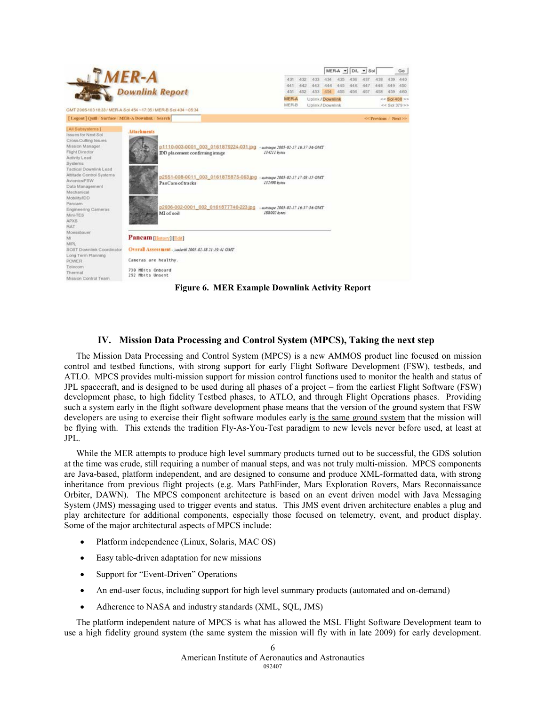

## **IV. Mission Data Processing and Control System (MPCS), Taking the next step**

The Mission Data Processing and Control System (MPCS) is a new AMMOS product line focused on mission control and testbed functions, with strong support for early Flight Software Development (FSW), testbeds, and ATLO. MPCS provides multi-mission support for mission control functions used to monitor the health and status of JPL spacecraft, and is designed to be used during all phases of a project – from the earliest Flight Software (FSW) development phase, to high fidelity Testbed phases, to ATLO, and through Flight Operations phases. Providing such a system early in the flight software development phase means that the version of the ground system that FSW developers are using to exercise their flight software modules early is the same ground system that the mission will be flying with. This extends the tradition Fly-As-You-Test paradigm to new levels never before used, at least at JPL.

While the MER attempts to produce high level summary products turned out to be successful, the GDS solution at the time was crude, still requiring a number of manual steps, and was not truly multi-mission. MPCS components are Java-based, platform independent, and are designed to consume and produce XML-formatted data, with strong inheritance from previous flight projects (e.g. Mars PathFinder, Mars Exploration Rovers, Mars Reconnaissance Orbiter, DAWN). The MPCS component architecture is based on an event driven model with Java Messaging System (JMS) messaging used to trigger events and status. This JMS event driven architecture enables a plug and play architecture for additional components, especially those focused on telemetry, event, and product display. Some of the major architectural aspects of MPCS include:

- Platform independence (Linux, Solaris, MAC OS)
- Easy table-driven adaptation for new missions
- Support for "Event-Driven" Operations
- An end-user focus, including support for high level summary products (automated and on-demand)
- Adherence to NASA and industry standards (XML, SQL, JMS)

The platform independent nature of MPCS is what has allowed the MSL Flight Software Development team to use a high fidelity ground system (the same system the mission will fly with in late 2009) for early development.

> American Institute of Aeronautics and Astronautics 092407 6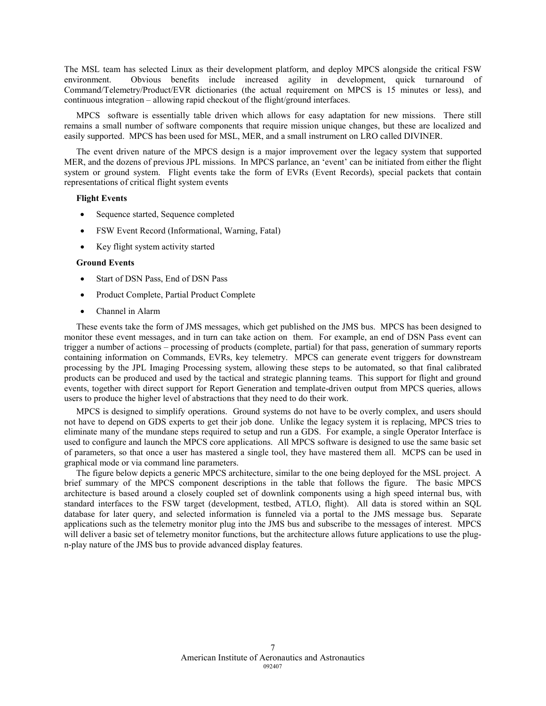The MSL team has selected Linux as their development platform, and deploy MPCS alongside the critical FSW environment. Obvious benefits include increased agility in development, quick turnaround of Command/Telemetry/Product/EVR dictionaries (the actual requirement on MPCS is 15 minutes or less), and continuous integration – allowing rapid checkout of the flight/ground interfaces.

MPCS software is essentially table driven which allows for easy adaptation for new missions. There still remains a small number of software components that require mission unique changes, but these are localized and easily supported. MPCS has been used for MSL, MER, and a small instrument on LRO called DIVINER.

The event driven nature of the MPCS design is a major improvement over the legacy system that supported MER, and the dozens of previous JPL missions. In MPCS parlance, an 'event' can be initiated from either the flight system or ground system. Flight events take the form of EVRs (Event Records), special packets that contain representations of critical flight system events

## **Flight Events**

- Sequence started, Sequence completed
- FSW Event Record (Informational, Warning, Fatal)
- Key flight system activity started

#### **Ground Events**

- Start of DSN Pass, End of DSN Pass
- Product Complete, Partial Product Complete
- Channel in Alarm

These events take the form of JMS messages, which get published on the JMS bus. MPCS has been designed to monitor these event messages, and in turn can take action on them. For example, an end of DSN Pass event can trigger a number of actions – processing of products (complete, partial) for that pass, generation of summary reports containing information on Commands, EVRs, key telemetry. MPCS can generate event triggers for downstream processing by the JPL Imaging Processing system, allowing these steps to be automated, so that final calibrated products can be produced and used by the tactical and strategic planning teams. This support for flight and ground events, together with direct support for Report Generation and template-driven output from MPCS queries, allows users to produce the higher level of abstractions that they need to do their work.

MPCS is designed to simplify operations. Ground systems do not have to be overly complex, and users should not have to depend on GDS experts to get their job done. Unlike the legacy system it is replacing, MPCS tries to eliminate many of the mundane steps required to setup and run a GDS. For example, a single Operator Interface is used to configure and launch the MPCS core applications. All MPCS software is designed to use the same basic set of parameters, so that once a user has mastered a single tool, they have mastered them all. MCPS can be used in graphical mode or via command line parameters.

The figure below depicts a generic MPCS architecture, similar to the one being deployed for the MSL project. A brief summary of the MPCS component descriptions in the table that follows the figure. The basic MPCS architecture is based around a closely coupled set of downlink components using a high speed internal bus, with standard interfaces to the FSW target (development, testbed, ATLO, flight). All data is stored within an SQL database for later query, and selected information is funneled via a portal to the JMS message bus. Separate applications such as the telemetry monitor plug into the JMS bus and subscribe to the messages of interest. MPCS will deliver a basic set of telemetry monitor functions, but the architecture allows future applications to use the plugn-play nature of the JMS bus to provide advanced display features.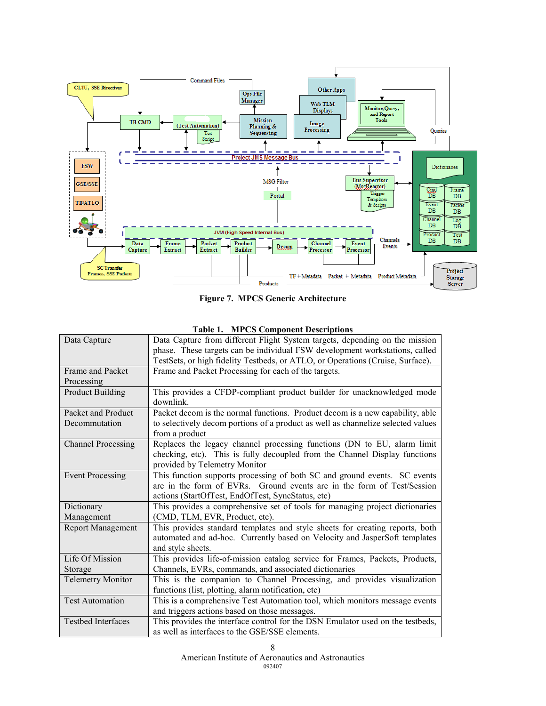

**Figure 7. MPCS Generic Architecture**

|                           | <b>Table 1. MPCS Component Descriptions</b>                                         |
|---------------------------|-------------------------------------------------------------------------------------|
| Data Capture              | Data Capture from different Flight System targets, depending on the mission         |
|                           | phase. These targets can be individual FSW development workstations, called         |
|                           | TestSets, or high fidelity Testbeds, or ATLO, or Operations (Cruise, Surface).      |
| Frame and Packet          | Frame and Packet Processing for each of the targets.                                |
| Processing                |                                                                                     |
| <b>Product Building</b>   | This provides a CFDP-compliant product builder for unacknowledged mode<br>downlink. |
| Packet and Product        | Packet decom is the normal functions. Product decom is a new capability, able       |
| Decommutation             | to selectively decom portions of a product as well as channelize selected values    |
|                           | from a product                                                                      |
| <b>Channel Processing</b> | Replaces the legacy channel processing functions (DN to EU, alarm limit             |
|                           | checking, etc). This is fully decoupled from the Channel Display functions          |
|                           | provided by Telemetry Monitor                                                       |
| <b>Event Processing</b>   | This function supports processing of both SC and ground events. SC events           |
|                           | are in the form of EVRs. Ground events are in the form of Test/Session              |
|                           | actions (StartOfTest, EndOfTest, SyncStatus, etc)                                   |
| Dictionary                | This provides a comprehensive set of tools for managing project dictionaries        |
| Management                | (CMD, TLM, EVR, Product, etc).                                                      |
| <b>Report Management</b>  | This provides standard templates and style sheets for creating reports, both        |
|                           | automated and ad-hoc. Currently based on Velocity and JasperSoft templates          |
|                           | and style sheets.                                                                   |
| Life Of Mission           | This provides life-of-mission catalog service for Frames, Packets, Products,        |
| Storage                   | Channels, EVRs, commands, and associated dictionaries                               |
| <b>Telemetry Monitor</b>  | This is the companion to Channel Processing, and provides visualization             |
|                           | functions (list, plotting, alarm notification, etc)                                 |
| <b>Test Automation</b>    | This is a comprehensive Test Automation tool, which monitors message events         |
|                           | and triggers actions based on those messages.                                       |
| <b>Testbed Interfaces</b> | This provides the interface control for the DSN Emulator used on the testbeds,      |
|                           | as well as interfaces to the GSE/SSE elements.                                      |

## **Table 1. MPCS Component Descriptions**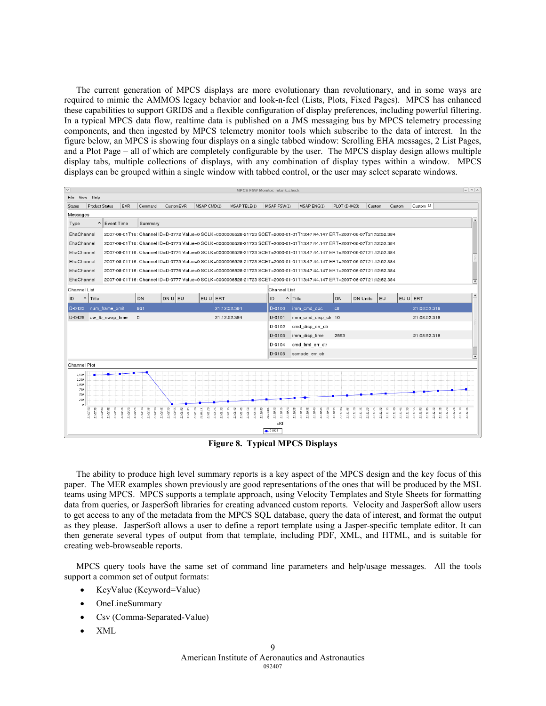The current generation of MPCS displays are more evolutionary than revolutionary, and in some ways are required to mimic the AMMOS legacy behavior and look-n-feel (Lists, Plots, Fixed Pages). MPCS has enhanced these capabilities to support GRIDS and a flexible configuration of display preferences, including powerful filtering. In a typical MPCS data flow, realtime data is published on a JMS messaging bus by MPCS telemetry processing components, and then ingested by MPCS telemetry monitor tools which subscribe to the data of interest. In the figure below, an MPCS is showing four displays on a single tabbed window: Scrolling EHA messages, 2 List Pages, and a Plot Page – all of which are completely configurable by the user. The MPCS display design allows multiple display tabs, multiple collections of displays, with any combination of display types within a window. MPCS displays can be grouped within a single window with tabbed control, or the user may select separate windows.

| ſv                                  |                                                                                                                                       |                      |                                  |                                  |                                                                                                                         |                                               |                      |                      | MPCS FSW Monitor: mtank_check |                      |                      |                      |                      |                      |                      |                      |                      |                      |          |                      |                      |                        |              |                      |          |                       | $ \Box$ $\times$         |
|-------------------------------------|---------------------------------------------------------------------------------------------------------------------------------------|----------------------|----------------------------------|----------------------------------|-------------------------------------------------------------------------------------------------------------------------|-----------------------------------------------|----------------------|----------------------|-------------------------------|----------------------|----------------------|----------------------|----------------------|----------------------|----------------------|----------------------|----------------------|----------------------|----------|----------------------|----------------------|------------------------|--------------|----------------------|----------|-----------------------|--------------------------|
| File View Help                      |                                                                                                                                       |                      |                                  |                                  |                                                                                                                         |                                               |                      |                      |                               |                      |                      |                      |                      |                      |                      |                      |                      |                      |          |                      |                      |                        |              |                      |          |                       |                          |
| <b>Status</b>                       | <b>Product Status</b>                                                                                                                 |                      | <b>EVR</b>                       | Command                          | CustomEVR                                                                                                               | MSAP CMD(1)                                   |                      | MSAP TELE(1)         |                               |                      | MSAP FSW(1)          |                      |                      | MSAP ENG(1)          |                      | PLOT (D-0423)        |                      | Custom               |          | Custom               |                      |                        | Custom &     |                      |          |                       |                          |
| Messages                            |                                                                                                                                       |                      |                                  |                                  |                                                                                                                         |                                               |                      |                      |                               |                      |                      |                      |                      |                      |                      |                      |                      |                      |          |                      |                      |                        |              |                      |          |                       |                          |
| Type                                | $\sim$                                                                                                                                | Event Time           |                                  | Summary                          |                                                                                                                         |                                               |                      |                      |                               |                      |                      |                      |                      |                      |                      |                      |                      |                      |          |                      |                      |                        |              |                      |          |                       | $\overline{\phantom{a}}$ |
| EhaChannel                          |                                                                                                                                       |                      |                                  |                                  | 2007-08-01T16: Channel ID=D-0772 Value=0 SCLK=0000006528-21723 SCET=2000-01-01T13:47:44.147 ERT=2007-06-07T21:12:52.384 |                                               |                      |                      |                               |                      |                      |                      |                      |                      |                      |                      |                      |                      |          |                      |                      |                        |              |                      |          |                       |                          |
| EhaChannel                          |                                                                                                                                       |                      |                                  |                                  | 2007-06-07T16: Channel ID=D-0773 Value=0 SCLK=0000006528-21723 SCET=2000-01-01T13:47:44.147 ERT=2007-06-07T21:12:52.384 |                                               |                      |                      |                               |                      |                      |                      |                      |                      |                      |                      |                      |                      |          |                      |                      |                        |              |                      |          |                       |                          |
| EhaChannel                          |                                                                                                                                       |                      |                                  |                                  | 2007-08-01T16: Channel ID=D-0774 Value=0 SCLK=0000006528-21723 SCET=2000-01-01T13:47:44.147 ERT=2007-06-07T21:12:52.384 |                                               |                      |                      |                               |                      |                      |                      |                      |                      |                      |                      |                      |                      |          |                      |                      |                        |              |                      |          |                       |                          |
|                                     | EhaChannel<br>2007-06-01T16: Channel ID=D-0775 Value=0 SCLK=0000006528-21723 SCET=2000-01-01T13:47:44.147 ERT=2007-06-07T21:12:52.384 |                      |                                  |                                  |                                                                                                                         |                                               |                      |                      |                               |                      |                      |                      |                      |                      |                      |                      |                      |                      |          |                      |                      |                        |              |                      |          |                       |                          |
| EhaChannel                          |                                                                                                                                       |                      |                                  |                                  | 2007-08-01T16: Channel ID=D-0776 Value=0 SCLK=0000006528-21723 SCET=2000-01-01T13:47:44.147 ERT=2007-06-07T21:12:52.384 |                                               |                      |                      |                               |                      |                      |                      |                      |                      |                      |                      |                      |                      |          |                      |                      |                        |              |                      |          |                       |                          |
| EhaChannel                          |                                                                                                                                       |                      |                                  |                                  | 2007-08-01T16: Channel ID=D-0777 Value=0 SCLK=0000006528-21723 SCET=2000-01-01T13:47:44.147 ERT=2007-06-07T21:12:52.384 |                                               |                      |                      |                               |                      |                      |                      |                      |                      |                      |                      |                      |                      |          |                      |                      |                        |              |                      |          |                       | $\overline{\phantom{a}}$ |
| Channel List<br><b>Channel List</b> |                                                                                                                                       |                      |                                  |                                  |                                                                                                                         |                                               |                      |                      |                               |                      |                      |                      |                      |                      |                      |                      |                      |                      |          |                      |                      |                        |              |                      |          |                       |                          |
| ID                                  | Title<br>$\blacktriangle$                                                                                                             |                      |                                  | <b>DN</b>                        | DN U   EU                                                                                                               | EU U ERT                                      |                      |                      |                               | ID                   |                      | $\blacktriangle$     | Title                |                      | <b>DN</b>            |                      |                      | DN Units             | EU       |                      |                      | EU U ERT               |              |                      |          |                       | $\overline{ }$           |
|                                     | D-0423 num frame xmit                                                                                                                 |                      |                                  | 861                              |                                                                                                                         |                                               | 21:12:52.384         |                      |                               |                      | D-0100               |                      | imm cmd opc          |                      | c8                   |                      |                      |                      |          |                      |                      |                        |              | 21:08:52.318         |          |                       |                          |
|                                     | D-0429 ow fb swap time                                                                                                                |                      |                                  | $\circ$                          |                                                                                                                         |                                               | 21:12:52.384         |                      |                               |                      | D-0101               |                      |                      | imm_cmd_disp_ctr_10  |                      |                      |                      |                      |          |                      |                      |                        | 21:08:52.318 |                      |          |                       |                          |
|                                     |                                                                                                                                       |                      |                                  |                                  |                                                                                                                         |                                               |                      |                      |                               |                      | D-0102               |                      |                      | cmd disp err ctr     |                      |                      |                      |                      |          |                      |                      |                        |              |                      |          |                       |                          |
|                                     |                                                                                                                                       |                      |                                  |                                  |                                                                                                                         |                                               |                      |                      |                               |                      | D-0103               |                      | imm disp time        |                      |                      | 2593                 |                      |                      |          |                      |                      |                        |              | 21:08:52.318         |          |                       |                          |
|                                     |                                                                                                                                       |                      |                                  |                                  |                                                                                                                         |                                               |                      |                      |                               |                      | D-0104               |                      |                      | cmd frmt err ctr     |                      |                      |                      |                      |          |                      |                      |                        |              |                      |          |                       |                          |
|                                     |                                                                                                                                       |                      |                                  |                                  |                                                                                                                         |                                               |                      |                      |                               |                      | D-0105               |                      | scmode err ctr       |                      |                      |                      |                      |                      |          |                      |                      |                        |              |                      |          |                       | $\overline{\phantom{a}}$ |
| <b>Channel Plot</b>                 |                                                                                                                                       |                      |                                  |                                  |                                                                                                                         |                                               |                      |                      |                               |                      |                      |                      |                      |                      |                      |                      |                      |                      |          |                      |                      |                        |              |                      |          |                       |                          |
| 1,500                               |                                                                                                                                       |                      |                                  |                                  |                                                                                                                         |                                               |                      |                      |                               |                      |                      |                      |                      |                      |                      |                      |                      |                      |          |                      |                      |                        |              |                      |          |                       |                          |
| 1,250                               |                                                                                                                                       |                      |                                  |                                  |                                                                                                                         |                                               |                      |                      |                               |                      |                      |                      |                      |                      |                      |                      |                      |                      |          |                      |                      |                        |              |                      |          |                       |                          |
| 1,000<br>750                        |                                                                                                                                       |                      |                                  |                                  |                                                                                                                         |                                               |                      |                      |                               |                      |                      |                      |                      |                      |                      |                      |                      |                      |          |                      |                      |                        |              |                      |          |                       |                          |
| 500<br>250                          |                                                                                                                                       |                      |                                  |                                  |                                                                                                                         |                                               |                      |                      |                               |                      |                      |                      |                      |                      |                      |                      |                      |                      |          |                      |                      |                        |              |                      |          |                       |                          |
| $\theta$                            | S                                                                                                                                     |                      |                                  |                                  |                                                                                                                         |                                               |                      |                      |                               |                      |                      |                      |                      |                      |                      |                      |                      |                      |          |                      |                      |                        |              |                      |          |                       |                          |
|                                     | $21:08:00$<br>21:07:55<br>21:07                                                                                                       | 21:08:10<br>21:08:05 | 21:08:15<br>21:08:20<br>21:08:25 | 21:08:40<br>21:08:30<br>21:08:35 | 21:08:45<br>21:08:50<br>$21.09(00)$<br>21.09.05<br>21:08:55                                                             | 21.09:10<br>21:09:25<br>21:09:15<br>21:09:20. | 21:09:30<br>21:00:35 | 21:09:40<br>21.09:45 | 21:09:50<br>21:09:55          | 21:10:00<br>21:10:05 | 21:10:10<br>21:10:15 | 21:10:20<br>21:10:25 | 21:10:30<br>21:10:35 | 21:10:40<br>21:10:45 | 21:10:50<br>21:10:55 | 21:11:00<br>21:11:05 | 21:11:10<br>21:11:15 | 21:11:25<br>21:11:20 | 21:11:30 | 21:11:40<br>21:11:35 | 21:11:45<br>21:11:50 | 21:11:55<br>$21:12:00$ | 21:12:05     | 21:12:10<br>21:12:15 | 21:12:20 | 21:12:30.<br>21:12:25 | 21:12:35                 |
|                                     |                                                                                                                                       |                      |                                  |                                  |                                                                                                                         |                                               |                      |                      |                               |                      | ERT                  |                      |                      |                      |                      |                      |                      |                      |          |                      |                      |                        |              |                      |          |                       |                          |
|                                     |                                                                                                                                       |                      |                                  |                                  |                                                                                                                         |                                               |                      |                      |                               | $-$ <b>D</b> -0423   |                      |                      |                      |                      |                      |                      |                      |                      |          |                      |                      |                        |              |                      |          |                       |                          |
|                                     |                                                                                                                                       |                      |                                  |                                  |                                                                                                                         |                                               |                      |                      |                               |                      |                      |                      |                      |                      |                      |                      |                      |                      |          |                      |                      |                        |              |                      |          |                       |                          |

**Figure 8. Typical MPCS Displays**

The ability to produce high level summary reports is a key aspect of the MPCS design and the key focus of this paper. The MER examples shown previously are good representations of the ones that will be produced by the MSL teams using MPCS. MPCS supports a template approach, using Velocity Templates and Style Sheets for formatting data from queries, or JasperSoft libraries for creating advanced custom reports. Velocity and JasperSoft allow users to get access to any of the metadata from the MPCS SQL database, query the data of interest, and format the output as they please. JasperSoft allows a user to define a report template using a Jasper-specific template editor. It can then generate several types of output from that template, including PDF, XML, and HTML, and is suitable for creating web-browseable reports.

MPCS query tools have the same set of command line parameters and help/usage messages. All the tools support a common set of output formats:

- KeyValue (Keyword=Value)
- OneLineSummary
- Csv (Comma-Separated-Value)
- XML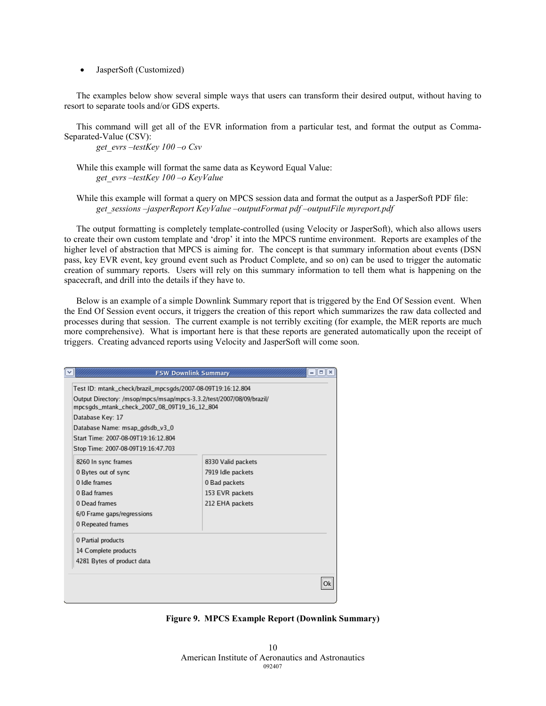• JasperSoft (Customized)

The examples below show several simple ways that users can transform their desired output, without having to resort to separate tools and/or GDS experts.

This command will get all of the EVR information from a particular test, and format the output as Comma-Separated-Value (CSV):

*get\_evrs –testKey 100 –o Csv*

While this example will format the same data as Keyword Equal Value: *get\_evrs –testKey 100 –o KeyValue*

While this example will format a query on MPCS session data and format the output as a JasperSoft PDF file: *get\_sessions –jasperReport KeyValue –outputFormat pdf –outputFile myreport.pdf*

The output formatting is completely template-controlled (using Velocity or JasperSoft), which also allows users to create their own custom template and 'drop' it into the MPCS runtime environment. Reports are examples of the higher level of abstraction that MPCS is aiming for. The concept is that summary information about events (DSN pass, key EVR event, key ground event such as Product Complete, and so on) can be used to trigger the automatic creation of summary reports. Users will rely on this summary information to tell them what is happening on the spacecraft, and drill into the details if they have to.

Below is an example of a simple Downlink Summary report that is triggered by the End Of Session event. When the End Of Session event occurs, it triggers the creation of this report which summarizes the raw data collected and processes during that session. The current example is not terribly exciting (for example, the MER reports are much more comprehensive). What is important here is that these reports are generated automatically upon the receipt of triggers. Creating advanced reports using Velocity and JasperSoft will come soon.

|                                                                      | -   =   ×<br><b>FSW Downlink Summary</b> |  |  |  |  |  |
|----------------------------------------------------------------------|------------------------------------------|--|--|--|--|--|
| Test ID: mtank_check/brazil_mpcsgds/2007-08-09T19:16:12.804          |                                          |  |  |  |  |  |
| Output Directory: /msop/mpcs/msap/mpcs-3.3.2/test/2007/08/09/brazil/ |                                          |  |  |  |  |  |
| mpcsgds_mtank_check_2007_08_09T19_16_12_804                          |                                          |  |  |  |  |  |
| Database Key: 17                                                     |                                          |  |  |  |  |  |
| Database Name: msap_qdsdb_v3_0                                       |                                          |  |  |  |  |  |
| Start Time: 2007-08-09T19:16:12.804                                  |                                          |  |  |  |  |  |
| Stop Time: 2007-08-09T19:16:47.703                                   |                                          |  |  |  |  |  |
| 8260 In sync frames                                                  | 8330 Valid packets                       |  |  |  |  |  |
| 0 Bytes out of sync                                                  | 7919 Idle packets                        |  |  |  |  |  |
| 0 Idle frames<br>0 Bad packets                                       |                                          |  |  |  |  |  |
| 0 Bad frames                                                         | 153 EVR packets                          |  |  |  |  |  |
| 0 Dead frames                                                        | 212 EHA packets                          |  |  |  |  |  |
| 6/0 Frame gaps/regressions                                           |                                          |  |  |  |  |  |
| 0 Repeated frames                                                    |                                          |  |  |  |  |  |
| 0 Partial products                                                   |                                          |  |  |  |  |  |
| 14 Complete products                                                 |                                          |  |  |  |  |  |
| 4281 Bytes of product data                                           |                                          |  |  |  |  |  |
|                                                                      |                                          |  |  |  |  |  |
|                                                                      |                                          |  |  |  |  |  |
|                                                                      |                                          |  |  |  |  |  |

**Figure 9. MPCS Example Report (Downlink Summary)**

American Institute of Aeronautics and Astronautics 092407 10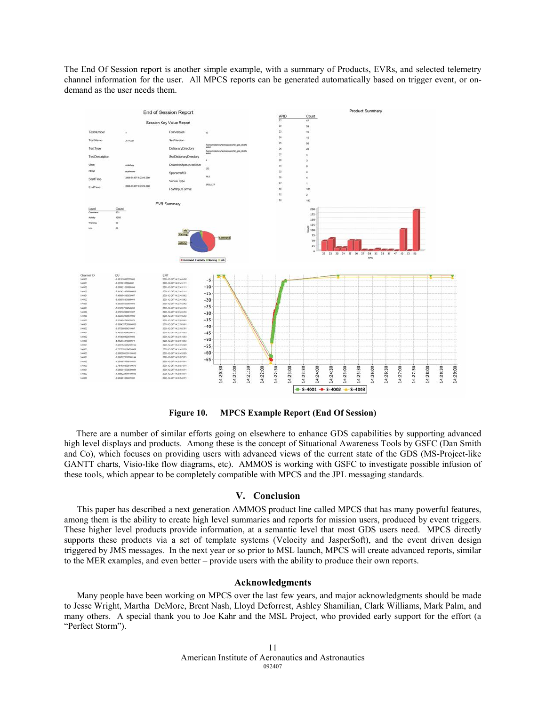The End Of Session report is another simple example, with a summary of Products, EVRs, and selected telemetry channel information for the user. All MPCS reports can be generated automatically based on trigger event, or ondemand as the user needs them.



**Figure 10. MPCS Example Report (End Of Session)**

There are a number of similar efforts going on elsewhere to enhance GDS capabilities by supporting advanced high level displays and products. Among these is the concept of Situational Awareness Tools by GSFC (Dan Smith and Co), which focuses on providing users with advanced views of the current state of the GDS (MS-Project-like GANTT charts, Visio-like flow diagrams, etc). AMMOS is working with GSFC to investigate possible infusion of these tools, which appear to be completely compatible with MPCS and the JPL messaging standards.

#### **V. Conclusion**

This paper has described a next generation AMMOS product line called MPCS that has many powerful features, among them is the ability to create high level summaries and reports for mission users, produced by event triggers. These higher level products provide information, at a semantic level that most GDS users need. MPCS directly supports these products via a set of template systems (Velocity and JasperSoft), and the event driven design triggered by JMS messages. In the next year or so prior to MSL launch, MPCS will create advanced reports, similar to the MER examples, and even better – provide users with the ability to produce their own reports.

#### **Acknowledgments**

Many people have been working on MPCS over the last few years, and major acknowledgments should be made to Jesse Wright, Martha DeMore, Brent Nash, Lloyd Deforrest, Ashley Shamilian, Clark Williams, Mark Palm, and many others. A special thank you to Joe Kahr and the MSL Project, who provided early support for the effort (a "Perfect Storm").